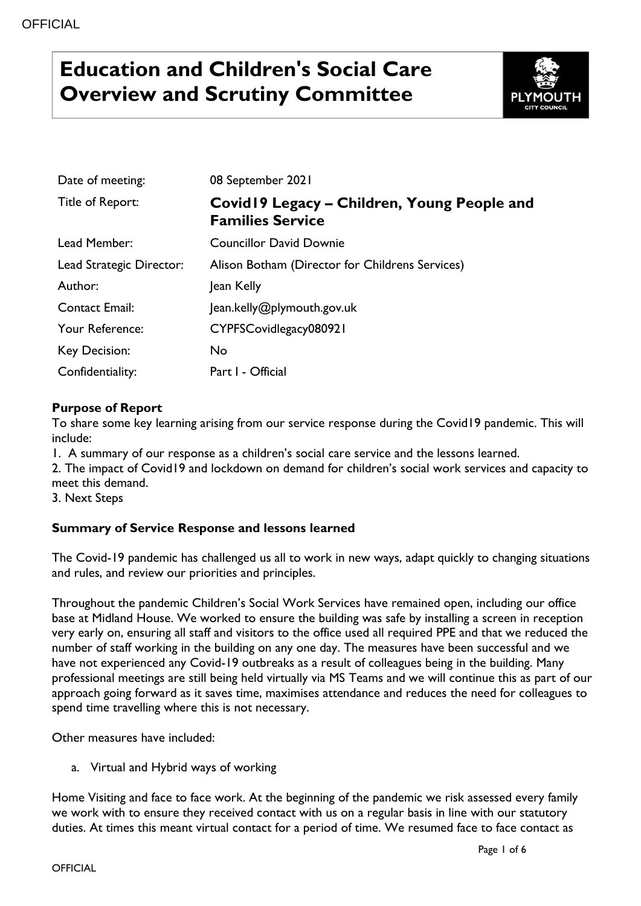# **Education and Children's Social Care Overview and Scrutiny Committee**



| Date of meeting:         | 08 September 2021                                                      |
|--------------------------|------------------------------------------------------------------------|
| Title of Report:         | Covid19 Legacy – Children, Young People and<br><b>Families Service</b> |
| Lead Member:             | <b>Councillor David Downie</b>                                         |
| Lead Strategic Director: | Alison Botham (Director for Childrens Services)                        |
| Author:                  | Jean Kelly                                                             |
| <b>Contact Email:</b>    | Jean.kelly@plymouth.gov.uk                                             |
| Your Reference:          | CYPFSCovidlegacy080921                                                 |
| <b>Key Decision:</b>     | No.                                                                    |
| Confidentiality:         | Part I - Official                                                      |

## **Purpose of Report**

To share some key learning arising from our service response during the Covid19 pandemic. This will include:

1. A summary of our response as a children's social care service and the lessons learned.

2. The impact of Covid19 and lockdown on demand for children's social work services and capacity to meet this demand.

3. Next Steps

## **Summary of Service Response and lessons learned**

The Covid-19 pandemic has challenged us all to work in new ways, adapt quickly to changing situations and rules, and review our priorities and principles.

Throughout the pandemic Children's Social Work Services have remained open, including our office base at Midland House. We worked to ensure the building was safe by installing a screen in reception very early on, ensuring all staff and visitors to the office used all required PPE and that we reduced the number of staff working in the building on any one day. The measures have been successful and we have not experienced any Covid-19 outbreaks as a result of colleagues being in the building. Many professional meetings are still being held virtually via MS Teams and we will continue this as part of our approach going forward as it saves time, maximises attendance and reduces the need for colleagues to spend time travelling where this is not necessary.

Other measures have included:

a. Virtual and Hybrid ways of working

Home Visiting and face to face work. At the beginning of the pandemic we risk assessed every family we work with to ensure they received contact with us on a regular basis in line with our statutory duties. At times this meant virtual contact for a period of time. We resumed face to face contact as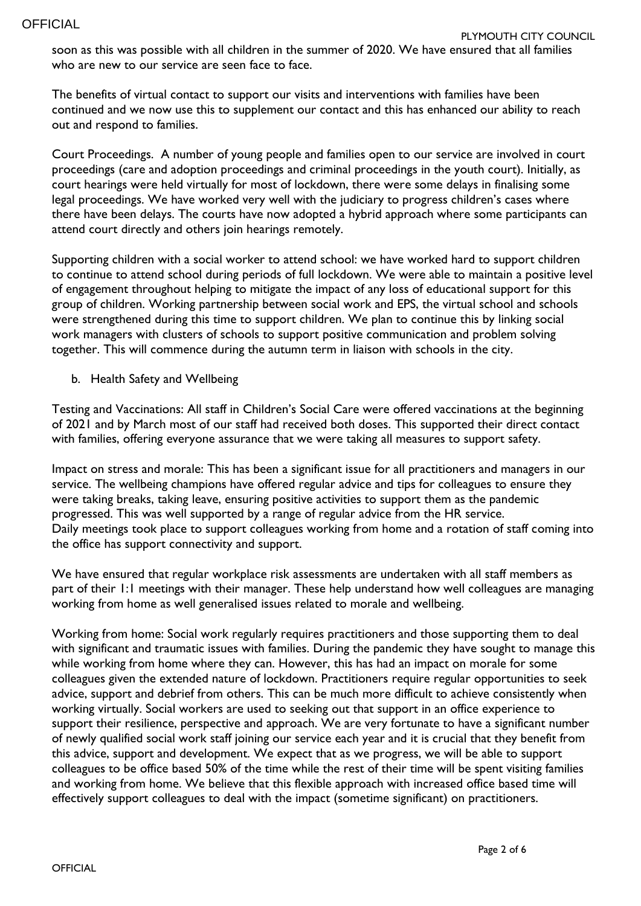soon as this was possible with all children in the summer of 2020. We have ensured that all families who are new to our service are seen face to face.

The benefits of virtual contact to support our visits and interventions with families have been continued and we now use this to supplement our contact and this has enhanced our ability to reach out and respond to families.

Court Proceedings. A number of young people and families open to our service are involved in court proceedings (care and adoption proceedings and criminal proceedings in the youth court). Initially, as court hearings were held virtually for most of lockdown, there were some delays in finalising some legal proceedings. We have worked very well with the judiciary to progress children's cases where there have been delays. The courts have now adopted a hybrid approach where some participants can attend court directly and others join hearings remotely.

Supporting children with a social worker to attend school: we have worked hard to support children to continue to attend school during periods of full lockdown. We were able to maintain a positive level of engagement throughout helping to mitigate the impact of any loss of educational support for this group of children. Working partnership between social work and EPS, the virtual school and schools were strengthened during this time to support children. We plan to continue this by linking social work managers with clusters of schools to support positive communication and problem solving together. This will commence during the autumn term in liaison with schools in the city.

b. Health Safety and Wellbeing

Testing and Vaccinations: All staff in Children's Social Care were offered vaccinations at the beginning of 2021 and by March most of our staff had received both doses. This supported their direct contact with families, offering everyone assurance that we were taking all measures to support safety.

Impact on stress and morale: This has been a significant issue for all practitioners and managers in our service. The wellbeing champions have offered regular advice and tips for colleagues to ensure they were taking breaks, taking leave, ensuring positive activities to support them as the pandemic progressed. This was well supported by a range of regular advice from the HR service. Daily meetings took place to support colleagues working from home and a rotation of staff coming into the office has support connectivity and support.

We have ensured that regular workplace risk assessments are undertaken with all staff members as part of their 1:1 meetings with their manager. These help understand how well colleagues are managing working from home as well generalised issues related to morale and wellbeing.

Working from home: Social work regularly requires practitioners and those supporting them to deal with significant and traumatic issues with families. During the pandemic they have sought to manage this while working from home where they can. However, this has had an impact on morale for some colleagues given the extended nature of lockdown. Practitioners require regular opportunities to seek advice, support and debrief from others. This can be much more difficult to achieve consistently when working virtually. Social workers are used to seeking out that support in an office experience to support their resilience, perspective and approach. We are very fortunate to have a significant number of newly qualified social work staff joining our service each year and it is crucial that they benefit from this advice, support and development. We expect that as we progress, we will be able to support colleagues to be office based 50% of the time while the rest of their time will be spent visiting families and working from home. We believe that this flexible approach with increased office based time will effectively support colleagues to deal with the impact (sometime significant) on practitioners.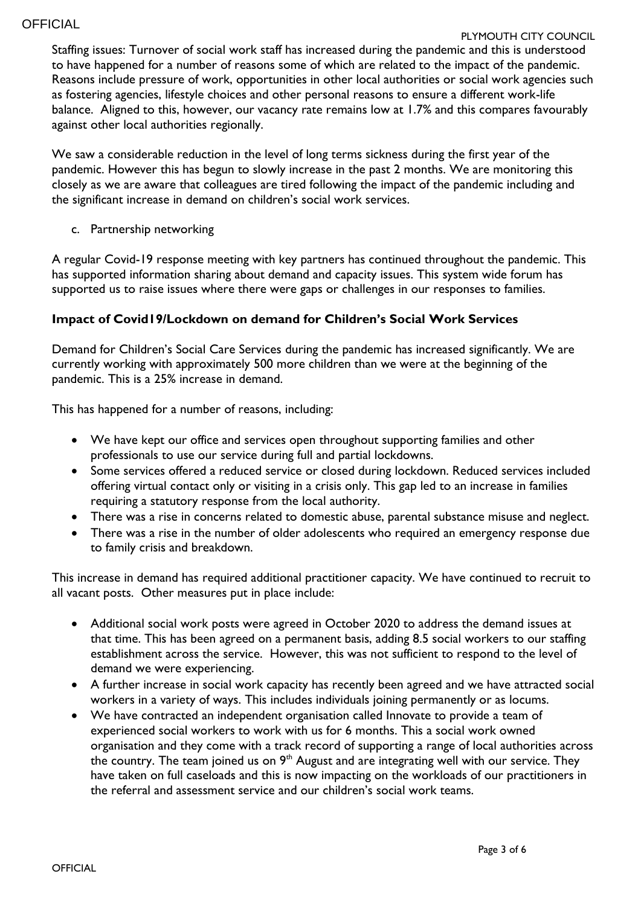#### PLYMOUTH CITY COUNCIL

Staffing issues: Turnover of social work staff has increased during the pandemic and this is understood to have happened for a number of reasons some of which are related to the impact of the pandemic. Reasons include pressure of work, opportunities in other local authorities or social work agencies such as fostering agencies, lifestyle choices and other personal reasons to ensure a different work-life balance. Aligned to this, however, our vacancy rate remains low at 1.7% and this compares favourably against other local authorities regionally.

We saw a considerable reduction in the level of long terms sickness during the first year of the pandemic. However this has begun to slowly increase in the past 2 months. We are monitoring this closely as we are aware that colleagues are tired following the impact of the pandemic including and the significant increase in demand on children's social work services.

c. Partnership networking

A regular Covid-19 response meeting with key partners has continued throughout the pandemic. This has supported information sharing about demand and capacity issues. This system wide forum has supported us to raise issues where there were gaps or challenges in our responses to families.

## **Impact of Covid19/Lockdown on demand for Children's Social Work Services**

Demand for Children's Social Care Services during the pandemic has increased significantly. We are currently working with approximately 500 more children than we were at the beginning of the pandemic. This is a 25% increase in demand.

This has happened for a number of reasons, including:

- We have kept our office and services open throughout supporting families and other professionals to use our service during full and partial lockdowns.
- Some services offered a reduced service or closed during lockdown. Reduced services included offering virtual contact only or visiting in a crisis only. This gap led to an increase in families requiring a statutory response from the local authority.
- There was a rise in concerns related to domestic abuse, parental substance misuse and neglect.
- There was a rise in the number of older adolescents who required an emergency response due to family crisis and breakdown.

This increase in demand has required additional practitioner capacity. We have continued to recruit to all vacant posts. Other measures put in place include:

- Additional social work posts were agreed in October 2020 to address the demand issues at that time. This has been agreed on a permanent basis, adding 8.5 social workers to our staffing establishment across the service. However, this was not sufficient to respond to the level of demand we were experiencing.
- A further increase in social work capacity has recently been agreed and we have attracted social workers in a variety of ways. This includes individuals joining permanently or as locums.
- We have contracted an independent organisation called Innovate to provide a team of experienced social workers to work with us for 6 months. This a social work owned organisation and they come with a track record of supporting a range of local authorities across the country. The team joined us on  $9<sup>th</sup>$  August and are integrating well with our service. They have taken on full caseloads and this is now impacting on the workloads of our practitioners in the referral and assessment service and our children's social work teams.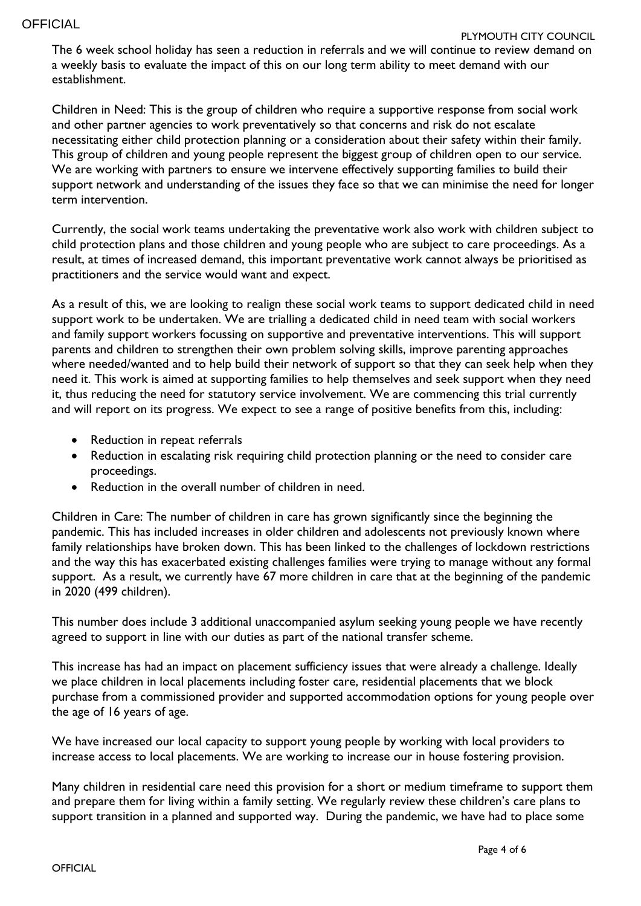The 6 week school holiday has seen a reduction in referrals and we will continue to review demand on a weekly basis to evaluate the impact of this on our long term ability to meet demand with our establishment.

Children in Need: This is the group of children who require a supportive response from social work and other partner agencies to work preventatively so that concerns and risk do not escalate necessitating either child protection planning or a consideration about their safety within their family. This group of children and young people represent the biggest group of children open to our service. We are working with partners to ensure we intervene effectively supporting families to build their support network and understanding of the issues they face so that we can minimise the need for longer term intervention.

Currently, the social work teams undertaking the preventative work also work with children subject to child protection plans and those children and young people who are subject to care proceedings. As a result, at times of increased demand, this important preventative work cannot always be prioritised as practitioners and the service would want and expect.

As a result of this, we are looking to realign these social work teams to support dedicated child in need support work to be undertaken. We are trialling a dedicated child in need team with social workers and family support workers focussing on supportive and preventative interventions. This will support parents and children to strengthen their own problem solving skills, improve parenting approaches where needed/wanted and to help build their network of support so that they can seek help when they need it. This work is aimed at supporting families to help themselves and seek support when they need it, thus reducing the need for statutory service involvement. We are commencing this trial currently and will report on its progress. We expect to see a range of positive benefits from this, including:

- Reduction in repeat referrals
- Reduction in escalating risk requiring child protection planning or the need to consider care proceedings.
- Reduction in the overall number of children in need.

Children in Care: The number of children in care has grown significantly since the beginning the pandemic. This has included increases in older children and adolescents not previously known where family relationships have broken down. This has been linked to the challenges of lockdown restrictions and the way this has exacerbated existing challenges families were trying to manage without any formal support. As a result, we currently have 67 more children in care that at the beginning of the pandemic in 2020 (499 children).

This number does include 3 additional unaccompanied asylum seeking young people we have recently agreed to support in line with our duties as part of the national transfer scheme.

This increase has had an impact on placement sufficiency issues that were already a challenge. Ideally we place children in local placements including foster care, residential placements that we block purchase from a commissioned provider and supported accommodation options for young people over the age of 16 years of age.

We have increased our local capacity to support young people by working with local providers to increase access to local placements. We are working to increase our in house fostering provision.

Many children in residential care need this provision for a short or medium timeframe to support them and prepare them for living within a family setting. We regularly review these children's care plans to support transition in a planned and supported way. During the pandemic, we have had to place some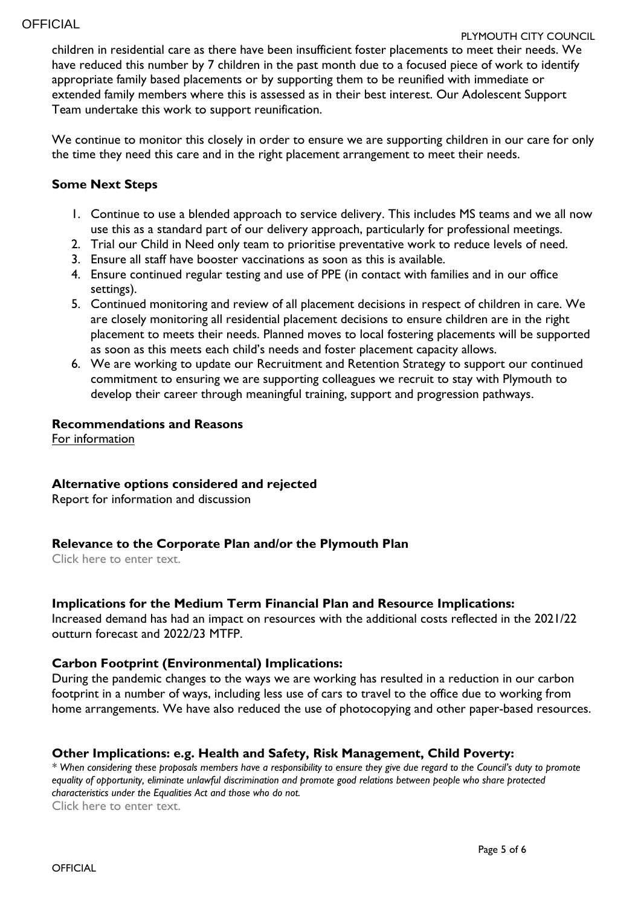#### PLYMOUTH CITY COUNCIL

children in residential care as there have been insufficient foster placements to meet their needs. We have reduced this number by 7 children in the past month due to a focused piece of work to identify appropriate family based placements or by supporting them to be reunified with immediate or extended family members where this is assessed as in their best interest. Our Adolescent Support Team undertake this work to support reunification.

We continue to monitor this closely in order to ensure we are supporting children in our care for only the time they need this care and in the right placement arrangement to meet their needs.

### **Some Next Steps**

- 1. Continue to use a blended approach to service delivery. This includes MS teams and we all now use this as a standard part of our delivery approach, particularly for professional meetings.
- 2. Trial our Child in Need only team to prioritise preventative work to reduce levels of need.
- 3. Ensure all staff have booster vaccinations as soon as this is available.
- 4. Ensure continued regular testing and use of PPE (in contact with families and in our office settings).
- 5. Continued monitoring and review of all placement decisions in respect of children in care. We are closely monitoring all residential placement decisions to ensure children are in the right placement to meets their needs. Planned moves to local fostering placements will be supported as soon as this meets each child's needs and foster placement capacity allows.
- 6. We are working to update our Recruitment and Retention Strategy to support our continued commitment to ensuring we are supporting colleagues we recruit to stay with Plymouth to develop their career through meaningful training, support and progression pathways.

## **Recommendations and Reasons**

For information

## **Alternative options considered and rejected**

Report for information and discussion

## **Relevance to the Corporate Plan and/or the Plymouth Plan**

Click here to enter text.

#### **Implications for the Medium Term Financial Plan and Resource Implications:**

Increased demand has had an impact on resources with the additional costs reflected in the 2021/22 outturn forecast and 2022/23 MTFP.

#### **Carbon Footprint (Environmental) Implications:**

During the pandemic changes to the ways we are working has resulted in a reduction in our carbon footprint in a number of ways, including less use of cars to travel to the office due to working from home arrangements. We have also reduced the use of photocopying and other paper-based resources.

## **Other Implications: e.g. Health and Safety, Risk Management, Child Poverty:**

*\* When considering these proposals members have a responsibility to ensure they give due regard to the Council's duty to promote equality of opportunity, eliminate unlawful discrimination and promote good relations between people who share protected characteristics under the Equalities Act and those who do not.*

Click here to enter text.